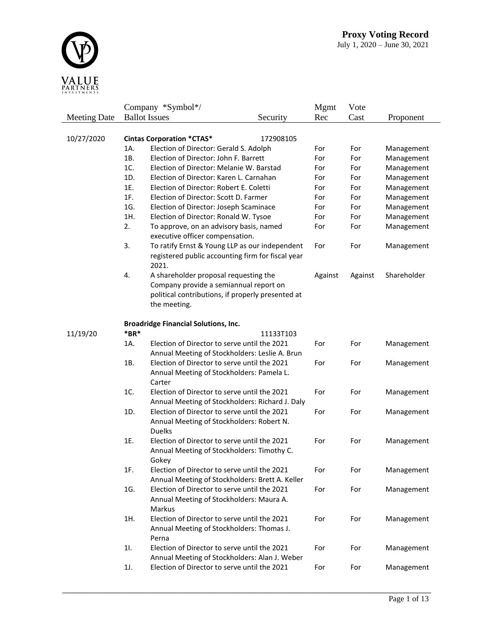

|                     |        | Company *Symbol*/                                                                                            |           | Mgmt    | Vote    |             |
|---------------------|--------|--------------------------------------------------------------------------------------------------------------|-----------|---------|---------|-------------|
| <b>Meeting Date</b> |        | <b>Ballot</b> Issues                                                                                         | Security  | Rec     | Cast    | Proponent   |
|                     |        |                                                                                                              |           |         |         |             |
| 10/27/2020          |        | <b>Cintas Corporation *CTAS*</b>                                                                             | 172908105 |         |         |             |
|                     | 1A.    | Election of Director: Gerald S. Adolph                                                                       |           | For     | For     | Management  |
|                     | 1B.    | Election of Director: John F. Barrett                                                                        |           | For     | For     | Management  |
|                     | 1C.    | Election of Director: Melanie W. Barstad                                                                     |           | For     | For     | Management  |
|                     | 1D.    | Election of Director: Karen L. Carnahan                                                                      |           | For     | For     | Management  |
|                     | 1E.    | Election of Director: Robert E. Coletti                                                                      |           | For     | For     | Management  |
|                     | 1F.    | Election of Director: Scott D. Farmer                                                                        |           | For     | For     | Management  |
|                     | 1G.    | Election of Director: Joseph Scaminace                                                                       |           | For     | For     | Management  |
|                     | 1H.    | Election of Director: Ronald W. Tysoe                                                                        |           | For     | For     | Management  |
|                     | 2.     | To approve, on an advisory basis, named                                                                      |           | For     | For     | Management  |
|                     |        | executive officer compensation.                                                                              |           |         |         |             |
|                     | 3.     | To ratify Ernst & Young LLP as our independent<br>registered public accounting firm for fiscal year<br>2021. |           | For     | For     | Management  |
|                     | 4.     | A shareholder proposal requesting the                                                                        |           | Against | Against | Shareholder |
|                     |        | Company provide a semiannual report on                                                                       |           |         |         |             |
|                     |        | political contributions, if properly presented at                                                            |           |         |         |             |
|                     |        | the meeting.                                                                                                 |           |         |         |             |
|                     |        |                                                                                                              |           |         |         |             |
|                     |        | <b>Broadridge Financial Solutions, Inc.</b>                                                                  |           |         |         |             |
| 11/19/20            | $*BR*$ |                                                                                                              | 11133T103 |         |         |             |
|                     | 1A.    | Election of Director to serve until the 2021                                                                 |           | For     | For     | Management  |
|                     |        | Annual Meeting of Stockholders: Leslie A. Brun                                                               |           |         |         |             |
|                     | 1B.    | Election of Director to serve until the 2021                                                                 |           | For     | For     | Management  |
|                     |        | Annual Meeting of Stockholders: Pamela L.                                                                    |           |         |         |             |
|                     |        | Carter                                                                                                       |           |         |         |             |
|                     | 1C.    | Election of Director to serve until the 2021                                                                 |           | For     | For     | Management  |
|                     |        | Annual Meeting of Stockholders: Richard J. Daly                                                              |           |         |         |             |
|                     | 1D.    | Election of Director to serve until the 2021                                                                 |           | For     | For     | Management  |
|                     |        | Annual Meeting of Stockholders: Robert N.                                                                    |           |         |         |             |
|                     |        | <b>Duelks</b>                                                                                                |           |         |         |             |
|                     | 1E.    | Election of Director to serve until the 2021                                                                 |           | For     | For     | Management  |
|                     |        | Annual Meeting of Stockholders: Timothy C.                                                                   |           |         |         |             |
|                     |        | Gokey                                                                                                        |           |         |         |             |
|                     | 1F.    | Election of Director to serve until the 2021                                                                 |           | For     | For     | Management  |
|                     |        | Annual Meeting of Stockholders: Brett A. Keller                                                              |           |         |         |             |
|                     | 1G.    | Election of Director to serve until the 2021                                                                 |           | For     | For     | Management  |
|                     |        | Annual Meeting of Stockholders: Maura A.                                                                     |           |         |         |             |
|                     |        | Markus                                                                                                       |           |         |         |             |
|                     | 1H.    | Election of Director to serve until the 2021                                                                 |           | For     | For     | Management  |
|                     |        | Annual Meeting of Stockholders: Thomas J.                                                                    |           |         |         |             |
|                     |        | Perna                                                                                                        |           |         |         |             |
|                     | 11.    | Election of Director to serve until the 2021                                                                 |           | For     | For     | Management  |
|                     |        | Annual Meeting of Stockholders: Alan J. Weber                                                                |           |         |         |             |
|                     | 1J.    | Election of Director to serve until the 2021                                                                 |           | For     | For     | Management  |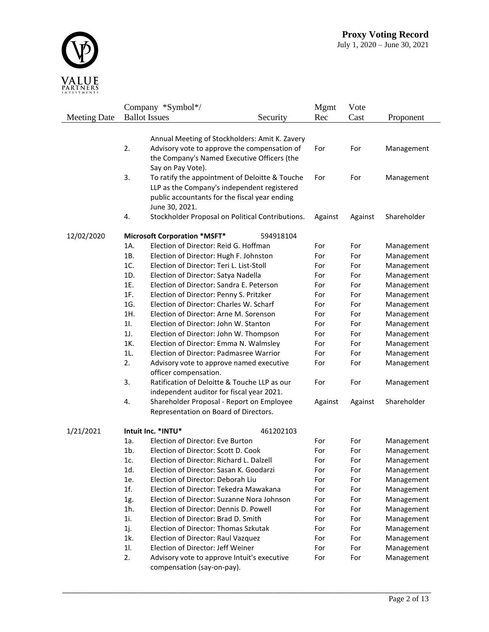

|                     |        | Company *Symbol*/                                                                                                                                                |           | <b>Mgmt</b> | Vote       |             |
|---------------------|--------|------------------------------------------------------------------------------------------------------------------------------------------------------------------|-----------|-------------|------------|-------------|
| <b>Meeting Date</b> |        | <b>Ballot</b> Issues                                                                                                                                             | Security  | Rec         | Cast       | Proponent   |
|                     |        | Annual Meeting of Stockholders: Amit K. Zavery                                                                                                                   |           |             |            |             |
|                     | 2.     | Advisory vote to approve the compensation of<br>the Company's Named Executive Officers (the<br>Say on Pay Vote).                                                 | For       | For         | Management |             |
|                     | 3.     | To ratify the appointment of Deloitte & Touche<br>LLP as the Company's independent registered<br>public accountants for the fiscal year ending<br>June 30, 2021. |           | For         | For        | Management  |
|                     | 4.     | Stockholder Proposal on Political Contributions.                                                                                                                 |           | Against     | Against    | Shareholder |
| 12/02/2020          |        | <b>Microsoft Corporation *MSFT*</b>                                                                                                                              | 594918104 |             |            |             |
|                     | 1A.    | Election of Director: Reid G. Hoffman                                                                                                                            |           | For         | For        | Management  |
|                     | 1B.    | Election of Director: Hugh F. Johnston                                                                                                                           |           | For         | For        | Management  |
|                     | 1C.    | Election of Director: Teri L. List-Stoll                                                                                                                         |           | For         | For        | Management  |
|                     | 1D.    | Election of Director: Satya Nadella                                                                                                                              |           | For         | For        | Management  |
|                     | 1E.    | Election of Director: Sandra E. Peterson                                                                                                                         |           | For         | For        | Management  |
|                     | 1F.    | Election of Director: Penny S. Pritzker                                                                                                                          |           | For         | For        | Management  |
|                     | 1G.    | Election of Director: Charles W. Scharf                                                                                                                          |           | For         | For        | Management  |
|                     | 1H.    | Election of Director: Arne M. Sorenson                                                                                                                           |           | For         | For        | Management  |
|                     | 11.    | Election of Director: John W. Stanton                                                                                                                            |           | For         | For        | Management  |
|                     | 1J.    | Election of Director: John W. Thompson                                                                                                                           |           | For         | For        | Management  |
|                     | 1K.    | Election of Director: Emma N. Walmsley                                                                                                                           |           | For         | For        | Management  |
|                     | 1L.    | Election of Director: Padmasree Warrior                                                                                                                          |           | For         | For        | Management  |
|                     | 2.     | Advisory vote to approve named executive<br>officer compensation.                                                                                                |           | For         | For        | Management  |
|                     | 3.     | Ratification of Deloitte & Touche LLP as our<br>independent auditor for fiscal year 2021.                                                                        |           | For         | For        | Management  |
|                     | 4.     | Shareholder Proposal - Report on Employee<br>Representation on Board of Directors.                                                                               |           | Against     | Against    | Shareholder |
| 1/21/2021           |        | Intuit Inc. *INTU*                                                                                                                                               | 461202103 |             |            |             |
|                     | 1a.    | Election of Director: Eve Burton                                                                                                                                 |           | For         | For        | Management  |
|                     | $1b$ . | Election of Director: Scott D. Cook                                                                                                                              |           | For         | For        | Management  |
|                     | 1c.    | Election of Director: Richard L. Dalzell                                                                                                                         |           | For         | For        | Management  |
|                     | 1d.    | Election of Director: Sasan K. Goodarzi                                                                                                                          |           | For         | For        | Management  |
|                     | 1e.    | Election of Director: Deborah Liu                                                                                                                                |           | For         | For        | Management  |
|                     | 1f.    | Election of Director: Tekedra Mawakana                                                                                                                           |           | For         | For        | Management  |
|                     | 1g.    | Election of Director: Suzanne Nora Johnson                                                                                                                       |           | For         | For        | Management  |
|                     | 1h.    | Election of Director: Dennis D. Powell                                                                                                                           |           | For         | For        | Management  |
|                     | 1i.    | Election of Director: Brad D. Smith                                                                                                                              |           | For         | For        | Management  |
|                     | 1j.    | Election of Director: Thomas Szkutak                                                                                                                             |           | For         |            |             |
|                     |        |                                                                                                                                                                  |           |             | For        | Management  |
|                     | 1k.    | Election of Director: Raul Vazquez                                                                                                                               |           | For         | For        | Management  |
|                     | 11.    | Election of Director: Jeff Weiner                                                                                                                                |           | For         | For        | Management  |
|                     | 2.     | Advisory vote to approve Intuit's executive<br>compensation (say-on-pay).                                                                                        |           | For         | For        | Management  |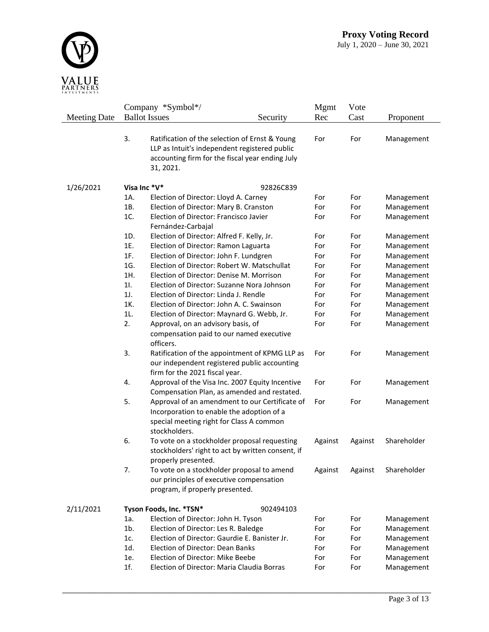

|                     |     | Company *Symbol*/                                     |           | Mgmt    | Vote    |             |
|---------------------|-----|-------------------------------------------------------|-----------|---------|---------|-------------|
| <b>Meeting Date</b> |     | <b>Ballot</b> Issues                                  | Security  | Rec     | Cast    | Proponent   |
|                     |     |                                                       |           |         |         |             |
|                     | 3.  | Ratification of the selection of Ernst & Young        |           | For     | For     | Management  |
|                     |     | LLP as Intuit's independent registered public         |           |         |         |             |
|                     |     | accounting firm for the fiscal year ending July       |           |         |         |             |
|                     |     | 31, 2021.                                             |           |         |         |             |
|                     |     |                                                       |           |         |         |             |
| 1/26/2021           |     | Visa Inc *V*<br>92826C839                             |           |         |         |             |
|                     | 1A. | Election of Director: Lloyd A. Carney                 |           | For     | For     | Management  |
|                     | 1B. | Election of Director: Mary B. Cranston                |           | For     | For     | Management  |
|                     | 1C. | Election of Director: Francisco Javier                |           | For     | For     | Management  |
|                     |     | Fernández-Carbajal                                    |           |         |         |             |
|                     | 1D. | Election of Director: Alfred F. Kelly, Jr.            |           | For     | For     | Management  |
|                     | 1E. | Election of Director: Ramon Laguarta                  |           | For     | For     | Management  |
|                     | 1F. | Election of Director: John F. Lundgren                |           | For     | For     | Management  |
|                     | 1G. | Election of Director: Robert W. Matschullat           |           | For     | For     | Management  |
|                     | 1H. | Election of Director: Denise M. Morrison              |           | For     | For     | Management  |
|                     | 11. | Election of Director: Suzanne Nora Johnson            |           | For     | For     | Management  |
|                     | 1J. | Election of Director: Linda J. Rendle                 |           | For     | For     | Management  |
|                     | 1K. | Election of Director: John A. C. Swainson             |           | For     | For     | Management  |
|                     | 1L. | Election of Director: Maynard G. Webb, Jr.            |           | For     | For     | Management  |
|                     | 2.  | Approval, on an advisory basis, of                    |           | For     | For     | Management  |
|                     |     | compensation paid to our named executive<br>officers. |           |         |         |             |
|                     | 3.  | Ratification of the appointment of KPMG LLP as        |           | For     | For     | Management  |
|                     |     | our independent registered public accounting          |           |         |         |             |
|                     |     | firm for the 2021 fiscal year.                        |           |         |         |             |
|                     | 4.  | Approval of the Visa Inc. 2007 Equity Incentive       |           | For     | For     | Management  |
|                     |     | Compensation Plan, as amended and restated.           |           |         |         |             |
|                     | 5.  | Approval of an amendment to our Certificate of        |           | For     | For     | Management  |
|                     |     | Incorporation to enable the adoption of a             |           |         |         |             |
|                     |     | special meeting right for Class A common              |           |         |         |             |
|                     |     | stockholders.                                         |           |         |         |             |
|                     | 6.  | To vote on a stockholder proposal requesting          |           | Against | Against | Shareholder |
|                     |     | stockholders' right to act by written consent, if     |           |         |         |             |
|                     |     | properly presented.                                   |           |         |         |             |
|                     | 7.  | To vote on a stockholder proposal to amend            |           | Against | Against | Shareholder |
|                     |     | our principles of executive compensation              |           |         |         |             |
|                     |     | program, if properly presented.                       |           |         |         |             |
| 2/11/2021           |     | Tyson Foods, Inc. *TSN*                               | 902494103 |         |         |             |
|                     | 1a. | Election of Director: John H. Tyson                   |           | For     | For     | Management  |
|                     | 1b. | Election of Director: Les R. Baledge                  |           | For     | For     | Management  |
|                     | 1c. | Election of Director: Gaurdie E. Banister Jr.         |           | For     | For     | Management  |
|                     | 1d. | Election of Director: Dean Banks                      |           | For     | For     | Management  |
|                     | 1e. | Election of Director: Mike Beebe                      |           | For     | For     | Management  |
|                     | 1f. | Election of Director: Maria Claudia Borras            |           | For     | For     | Management  |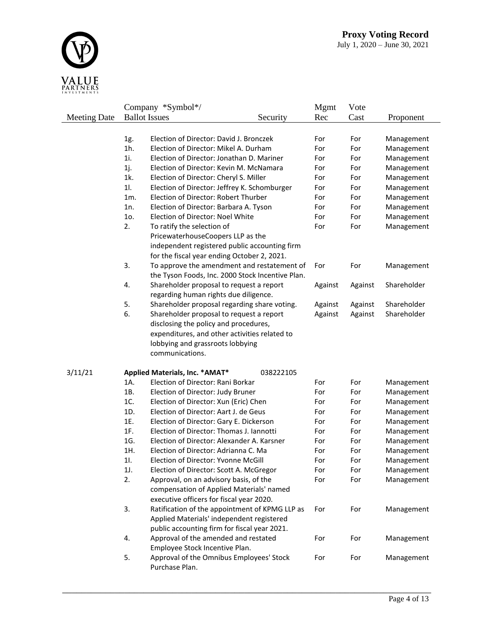

|                     |     | Company *Symbol*/                                                    |           | Mgmt    | Vote    |                          |
|---------------------|-----|----------------------------------------------------------------------|-----------|---------|---------|--------------------------|
| <b>Meeting Date</b> |     | <b>Ballot</b> Issues<br>Security                                     |           | Rec     | Cast    | Proponent                |
|                     |     |                                                                      |           |         |         |                          |
|                     | 1g. | Election of Director: David J. Bronczek                              |           | For     | For     | Management               |
|                     | 1h. | Election of Director: Mikel A. Durham                                |           | For     | For     | Management               |
|                     | 1i. | Election of Director: Jonathan D. Mariner                            |           | For     | For     | Management               |
|                     | 1j. | Election of Director: Kevin M. McNamara                              |           | For     | For     | Management               |
|                     | 1k. | Election of Director: Cheryl S. Miller                               |           | For     | For     | Management               |
|                     | 11. | Election of Director: Jeffrey K. Schomburger                         |           | For     | For     | Management               |
|                     | 1m. | Election of Director: Robert Thurber                                 |           | For     | For     | Management               |
|                     | 1n. | Election of Director: Barbara A. Tyson                               |           | For     | For     | Management               |
|                     | 1o. | Election of Director: Noel White                                     |           | For     | For     | Management               |
|                     | 2.  | To ratify the selection of                                           |           | For     | For     | Management               |
|                     |     | PricewaterhouseCoopers LLP as the                                    |           |         |         |                          |
|                     |     | independent registered public accounting firm                        |           |         |         |                          |
|                     |     | for the fiscal year ending October 2, 2021.                          |           |         |         |                          |
|                     | 3.  | To approve the amendment and restatement of                          |           | For     | For     | Management               |
|                     |     | the Tyson Foods, Inc. 2000 Stock Incentive Plan.                     |           |         |         |                          |
|                     | 4.  | Shareholder proposal to request a report                             |           | Against | Against | Shareholder              |
|                     |     | regarding human rights due diligence.                                |           |         |         |                          |
|                     | 5.  | Shareholder proposal regarding share voting.                         |           | Against | Against | Shareholder              |
|                     | 6.  | Shareholder proposal to request a report                             |           | Against | Against | Shareholder              |
|                     |     | disclosing the policy and procedures,                                |           |         |         |                          |
|                     |     | expenditures, and other activities related to                        |           |         |         |                          |
|                     |     | lobbying and grassroots lobbying                                     |           |         |         |                          |
|                     |     | communications.                                                      |           |         |         |                          |
| 3/11/21             |     |                                                                      | 038222105 |         |         |                          |
|                     | 1A. | Applied Materials, Inc. * AMAT*<br>Election of Director: Rani Borkar |           | For     | For     |                          |
|                     | 1B. | Election of Director: Judy Bruner                                    |           | For     | For     | Management<br>Management |
|                     | 1C. | Election of Director: Xun (Eric) Chen                                |           | For     | For     | Management               |
|                     | 1D. | Election of Director: Aart J. de Geus                                |           | For     | For     | Management               |
|                     | 1E. | Election of Director: Gary E. Dickerson                              |           | For     | For     | Management               |
|                     | 1F. | Election of Director: Thomas J. Iannotti                             |           | For     | For     | Management               |
|                     | 1G. | Election of Director: Alexander A. Karsner                           |           | For     | For     | Management               |
|                     | 1H. | Election of Director: Adrianna C. Ma                                 |           | For     | For     | Management               |
|                     | 11. | Election of Director: Yvonne McGill                                  |           | For     | For     | Management               |
|                     | 1J. | Election of Director: Scott A. McGregor                              |           | For     | For     | Management               |
|                     | 2.  | Approval, on an advisory basis, of the                               |           | For     | For     | Management               |
|                     |     | compensation of Applied Materials' named                             |           |         |         |                          |
|                     |     | executive officers for fiscal year 2020.                             |           |         |         |                          |
|                     | 3.  | Ratification of the appointment of KPMG LLP as                       |           | For     | For     | Management               |
|                     |     | Applied Materials' independent registered                            |           |         |         |                          |
|                     |     | public accounting firm for fiscal year 2021.                         |           |         |         |                          |
|                     | 4.  | Approval of the amended and restated                                 |           | For     | For     | Management               |
|                     |     | Employee Stock Incentive Plan.                                       |           |         |         |                          |
|                     | 5.  | Approval of the Omnibus Employees' Stock                             |           | For     | For     | Management               |
|                     |     | Purchase Plan.                                                       |           |         |         |                          |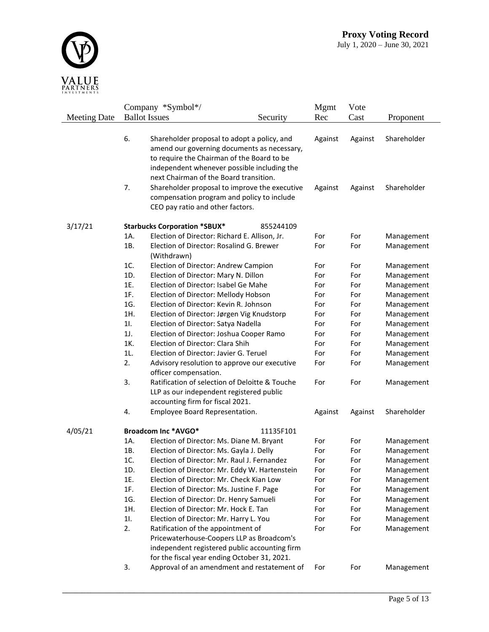

|                     |     | Company *Symbol*/                                                     |           | <b>Mgmt</b> | Vote    |             |
|---------------------|-----|-----------------------------------------------------------------------|-----------|-------------|---------|-------------|
| <b>Meeting Date</b> |     | <b>Ballot Issues</b>                                                  | Security  | Rec         | Cast    | Proponent   |
|                     |     |                                                                       |           |             |         |             |
|                     | 6.  | Shareholder proposal to adopt a policy, and                           |           | Against     | Against | Shareholder |
|                     |     | amend our governing documents as necessary,                           |           |             |         |             |
|                     |     | to require the Chairman of the Board to be                            |           |             |         |             |
|                     |     | independent whenever possible including the                           |           |             |         |             |
|                     |     | next Chairman of the Board transition.                                |           |             |         |             |
|                     | 7.  | Shareholder proposal to improve the executive                         |           | Against     | Against | Shareholder |
|                     |     | compensation program and policy to include                            |           |             |         |             |
|                     |     | CEO pay ratio and other factors.                                      |           |             |         |             |
| 3/17/21             |     | <b>Starbucks Corporation *SBUX*</b>                                   | 855244109 |             |         |             |
|                     | 1A. | Election of Director: Richard E. Allison, Jr.                         |           | For         | For     | Management  |
|                     | 1B. | Election of Director: Rosalind G. Brewer                              |           | For         | For     | Management  |
|                     |     | (Withdrawn)                                                           |           |             |         |             |
|                     | 1C. | Election of Director: Andrew Campion                                  |           | For         | For     | Management  |
|                     | 1D. | Election of Director: Mary N. Dillon                                  |           | For         | For     | Management  |
|                     | 1E. | Election of Director: Isabel Ge Mahe                                  |           | For         | For     | Management  |
|                     | 1F. | Election of Director: Mellody Hobson                                  |           | For         | For     | Management  |
|                     | 1G. | Election of Director: Kevin R. Johnson                                |           | For         | For     | Management  |
|                     | 1H. | Election of Director: Jørgen Vig Knudstorp                            |           | For         | For     | Management  |
|                     | 11. | Election of Director: Satya Nadella                                   |           | For         | For     | Management  |
|                     | 1J. | Election of Director: Joshua Cooper Ramo                              |           | For         | For     | Management  |
|                     | 1K. | Election of Director: Clara Shih                                      |           | For         | For     | Management  |
|                     | 1L. | Election of Director: Javier G. Teruel                                |           | For         | For     | Management  |
|                     | 2.  | Advisory resolution to approve our executive<br>officer compensation. |           | For         | For     | Management  |
|                     | 3.  | Ratification of selection of Deloitte & Touche                        |           | For         | For     | Management  |
|                     |     | LLP as our independent registered public                              |           |             |         |             |
|                     |     | accounting firm for fiscal 2021.                                      |           |             |         |             |
|                     | 4.  | Employee Board Representation.                                        |           | Against     | Against | Shareholder |
| 4/05/21             |     | Broadcom Inc *AVGO*                                                   | 11135F101 |             |         |             |
|                     | 1A. | Election of Director: Ms. Diane M. Bryant                             |           | For         | For     | Management  |
|                     | 1B. | Election of Director: Ms. Gayla J. Delly                              |           | For         | For     | Management  |
|                     | 1C. | Election of Director: Mr. Raul J. Fernandez                           |           | For         | For     | Management  |
|                     | 1D. | Election of Director: Mr. Eddy W. Hartenstein                         |           | For         | For     | Management  |
|                     | 1E. | Election of Director: Mr. Check Kian Low                              |           | For         | For     | Management  |
|                     | 1F. | Election of Director: Ms. Justine F. Page                             |           | For         | For     | Management  |
|                     | 1G. | Election of Director: Dr. Henry Samueli                               |           | For         | For     | Management  |
|                     | 1H. | Election of Director: Mr. Hock E. Tan                                 |           | For         | For     | Management  |
|                     | 11. | Election of Director: Mr. Harry L. You                                |           | For         | For     | Management  |
|                     | 2.  | Ratification of the appointment of                                    |           | For         | For     | Management  |
|                     |     | Pricewaterhouse-Coopers LLP as Broadcom's                             |           |             |         |             |
|                     |     | independent registered public accounting firm                         |           |             |         |             |
|                     |     | for the fiscal year ending October 31, 2021.                          |           |             |         |             |
|                     | 3.  | Approval of an amendment and restatement of                           |           | For         | For     | Management  |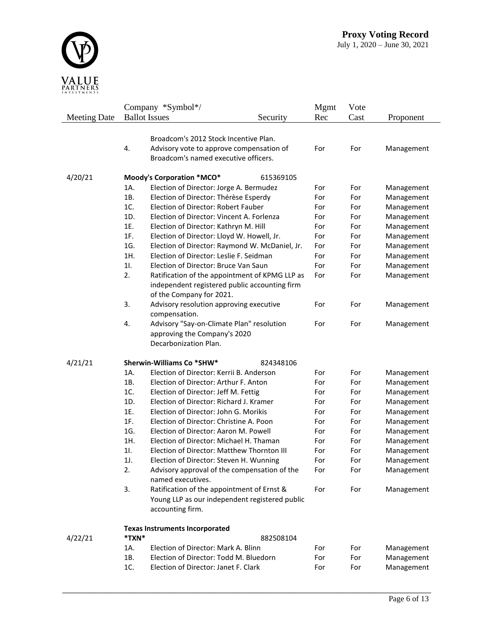

|                     |            | Company *Symbol*/                                                            |           | Mgmt       | Vote       |                          |
|---------------------|------------|------------------------------------------------------------------------------|-----------|------------|------------|--------------------------|
| <b>Meeting Date</b> |            | <b>Ballot</b> Issues                                                         | Security  | Rec        | Cast       | Proponent                |
|                     |            |                                                                              |           |            |            |                          |
|                     |            | Broadcom's 2012 Stock Incentive Plan.                                        |           |            |            |                          |
|                     | 4.         | Advisory vote to approve compensation of                                     |           | For        | For        | Management               |
|                     |            | Broadcom's named executive officers.                                         |           |            |            |                          |
|                     |            |                                                                              |           |            |            |                          |
| 4/20/21             |            | Moody's Corporation *MCO*                                                    | 615369105 |            |            |                          |
|                     | 1A.        | Election of Director: Jorge A. Bermudez                                      |           | For        | For        | Management               |
|                     | 1B.<br>1C. | Election of Director: Thérèse Esperdy<br>Election of Director: Robert Fauber |           | For        | For        | Management               |
|                     |            |                                                                              |           | For        | For        | Management               |
|                     | 1D.<br>1E. | Election of Director: Vincent A. Forlenza                                    |           | For        | For        | Management               |
|                     |            | Election of Director: Kathryn M. Hill                                        |           | For        | For        | Management               |
|                     | 1F.<br>1G. | Election of Director: Lloyd W. Howell, Jr.                                   |           | For        | For        | Management               |
|                     | 1H.        | Election of Director: Raymond W. McDaniel, Jr.                               |           | For        | For        | Management               |
|                     | 11.        | Election of Director: Leslie F. Seidman                                      |           | For        | For        | Management               |
|                     | 2.         | Election of Director: Bruce Van Saun                                         |           | For<br>For | For<br>For | Management<br>Management |
|                     |            | Ratification of the appointment of KPMG LLP as                               |           |            |            |                          |
|                     |            | independent registered public accounting firm<br>of the Company for 2021.    |           |            |            |                          |
|                     | 3.         | Advisory resolution approving executive                                      |           | For        | For        | Management               |
|                     |            | compensation.                                                                |           |            |            |                          |
|                     | 4.         | Advisory "Say-on-Climate Plan" resolution                                    |           | For        | For        | Management               |
|                     |            | approving the Company's 2020                                                 |           |            |            |                          |
|                     |            | Decarbonization Plan.                                                        |           |            |            |                          |
|                     |            |                                                                              |           |            |            |                          |
| 4/21/21             |            | Sherwin-Williams Co *SHW*                                                    | 824348106 |            |            |                          |
|                     | 1A.        | Election of Director: Kerrii B. Anderson                                     |           | For        | For        | Management               |
|                     | 1B.        | Election of Director: Arthur F. Anton                                        |           | For        | For        | Management               |
|                     | 1C.        | Election of Director: Jeff M. Fettig                                         |           | For        | For        | Management               |
|                     | 1D.        | Election of Director: Richard J. Kramer                                      |           | For        | For        | Management               |
|                     | 1E.        | Election of Director: John G. Morikis                                        |           | For        | For        | Management               |
|                     | 1F.        | Election of Director: Christine A. Poon                                      |           | For        | For        | Management               |
|                     | 1G.        | Election of Director: Aaron M. Powell                                        |           | For        | For        | Management               |
|                     | 1H.        | Election of Director: Michael H. Thaman                                      |           | For        | For        | Management               |
|                     | 11.        | Election of Director: Matthew Thornton III                                   |           | For        | For        | Management               |
|                     | 1J.        | Election of Director: Steven H. Wunning                                      |           | For        | For        | Management               |
|                     | 2.         | Advisory approval of the compensation of the                                 |           | For        | For        | Management               |
|                     |            | named executives.                                                            |           |            |            |                          |
|                     | 3.         | Ratification of the appointment of Ernst &                                   |           | For        | For        | Management               |
|                     |            | Young LLP as our independent registered public                               |           |            |            |                          |
|                     |            | accounting firm.                                                             |           |            |            |                          |
|                     |            |                                                                              |           |            |            |                          |
| 4/22/21             | *TXN*      | <b>Texas Instruments Incorporated</b>                                        | 882508104 |            |            |                          |
|                     | 1A.        | Election of Director: Mark A. Blinn                                          |           | For        | For        | Management               |
|                     | 1B.        | Election of Director: Todd M. Bluedorn                                       |           | For        | For        | Management               |
|                     | 1C.        | Election of Director: Janet F. Clark                                         |           | For        |            |                          |
|                     |            |                                                                              |           |            | For        | Management               |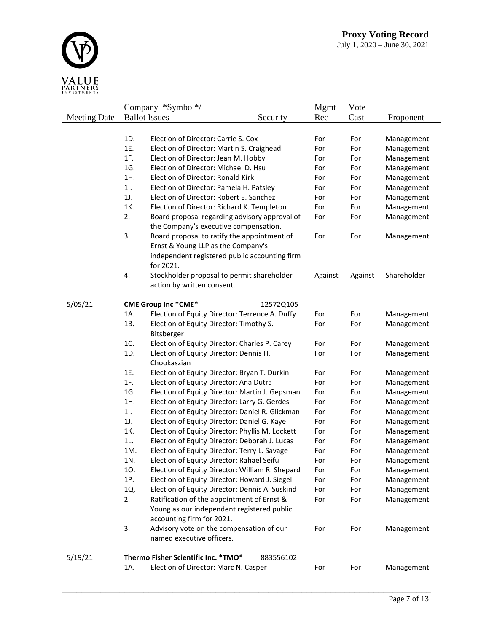

|                     |     | Company *Symbol*/                               |           | Mgmt    | Vote       |             |
|---------------------|-----|-------------------------------------------------|-----------|---------|------------|-------------|
| <b>Meeting Date</b> |     | <b>Ballot</b> Issues                            | Security  | Rec     | Cast       | Proponent   |
|                     |     |                                                 |           |         |            |             |
|                     | 1D. | Election of Director: Carrie S. Cox             |           | For     | For        | Management  |
|                     | 1E. | Election of Director: Martin S. Craighead       |           | For     | For        | Management  |
|                     | 1F. | Election of Director: Jean M. Hobby             | For       | For     | Management |             |
|                     | 1G. | Election of Director: Michael D. Hsu            |           | For     | For        | Management  |
|                     | 1H. | Election of Director: Ronald Kirk               |           | For     | For        | Management  |
|                     | 11. | Election of Director: Pamela H. Patsley         |           | For     | For        | Management  |
|                     | 1J. | Election of Director: Robert E. Sanchez         |           | For     | For        | Management  |
|                     | 1K. | Election of Director: Richard K. Templeton      |           | For     | For        | Management  |
|                     | 2.  | Board proposal regarding advisory approval of   |           | For     | For        | Management  |
|                     |     | the Company's executive compensation.           |           |         |            |             |
|                     | 3.  | Board proposal to ratify the appointment of     |           | For     | For        | Management  |
|                     |     | Ernst & Young LLP as the Company's              |           |         |            |             |
|                     |     | independent registered public accounting firm   |           |         |            |             |
|                     |     | for 2021.                                       |           |         |            |             |
|                     | 4.  | Stockholder proposal to permit shareholder      |           | Against | Against    | Shareholder |
|                     |     | action by written consent.                      |           |         |            |             |
|                     |     |                                                 |           |         |            |             |
| 5/05/21             |     | <b>CME Group Inc *CME*</b>                      | 12572Q105 |         |            |             |
|                     | 1A. | Election of Equity Director: Terrence A. Duffy  |           | For     | For        | Management  |
|                     | 1B. | Election of Equity Director: Timothy S.         |           | For     | For        | Management  |
|                     |     | Bitsberger                                      |           |         |            |             |
|                     | 1C. | Election of Equity Director: Charles P. Carey   |           | For     | For        | Management  |
|                     | 1D. | Election of Equity Director: Dennis H.          |           | For     | For        | Management  |
|                     |     | Chookaszian                                     |           |         |            |             |
|                     | 1E. | Election of Equity Director: Bryan T. Durkin    |           | For     | For        | Management  |
|                     | 1F. | Election of Equity Director: Ana Dutra          |           | For     | For        | Management  |
|                     | 1G. | Election of Equity Director: Martin J. Gepsman  |           | For     | For        | Management  |
|                     | 1H. | Election of Equity Director: Larry G. Gerdes    |           | For     | For        | Management  |
|                     | 11. | Election of Equity Director: Daniel R. Glickman |           | For     | For        | Management  |
|                     | 1J. | Election of Equity Director: Daniel G. Kaye     |           | For     | For        | Management  |
|                     | 1K. | Election of Equity Director: Phyllis M. Lockett |           | For     | For        | Management  |
|                     | 1L. | Election of Equity Director: Deborah J. Lucas   |           | For     | For        | Management  |
|                     | 1M. | Election of Equity Director: Terry L. Savage    |           | For     | For        | Management  |
|                     | 1N. | Election of Equity Director: Rahael Seifu       |           | For     | For        | Management  |
|                     | 10. | Election of Equity Director: William R. Shepard |           | For     | For        | Management  |
|                     | 1P. | Election of Equity Director: Howard J. Siegel   |           | For     | For        | Management  |
|                     | 1Q. | Election of Equity Director: Dennis A. Suskind  |           | For     | For        | Management  |
|                     | 2.  | Ratification of the appointment of Ernst &      |           | For     | For        | Management  |
|                     |     | Young as our independent registered public      |           |         |            |             |
|                     |     | accounting firm for 2021.                       |           |         |            |             |
|                     | 3.  | Advisory vote on the compensation of our        |           | For     | For        | Management  |
|                     |     | named executive officers.                       |           |         |            |             |
|                     |     |                                                 |           |         |            |             |
| 5/19/21             |     | Thermo Fisher Scientific Inc. *TMO*             | 883556102 |         |            |             |
|                     | 1A. | Election of Director: Marc N. Casper            |           | For     | For        | Management  |
|                     |     |                                                 |           |         |            |             |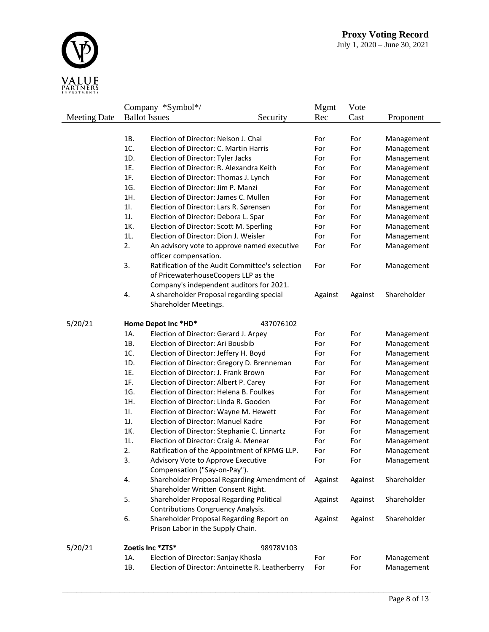

|                     |     | Company *Symbol*/                                                                       |           | <b>Mgmt</b> | Vote       |             |
|---------------------|-----|-----------------------------------------------------------------------------------------|-----------|-------------|------------|-------------|
| <b>Meeting Date</b> |     | <b>Ballot</b> Issues                                                                    | Security  | Rec         | Cast       | Proponent   |
|                     |     |                                                                                         |           |             |            |             |
|                     | 1B. | Election of Director: Nelson J. Chai                                                    |           | For         | For        | Management  |
|                     | 1C. | Election of Director: C. Martin Harris                                                  |           | For         | For        | Management  |
|                     | 1D. | Election of Director: Tyler Jacks                                                       | For       | For         | Management |             |
|                     | 1E. | Election of Director: R. Alexandra Keith                                                | For       | For         | Management |             |
|                     | 1F. | Election of Director: Thomas J. Lynch                                                   |           | For         | For        | Management  |
|                     | 1G. | Election of Director: Jim P. Manzi                                                      |           | For         | For        | Management  |
|                     | 1H. | Election of Director: James C. Mullen                                                   |           | For         | For        | Management  |
|                     | 11. | Election of Director: Lars R. Sørensen                                                  |           | For         | For        | Management  |
|                     | 1J. | Election of Director: Debora L. Spar                                                    |           | For         | For        | Management  |
|                     | 1K. | Election of Director: Scott M. Sperling                                                 |           | For         | For        | Management  |
|                     | 1L. | Election of Director: Dion J. Weisler                                                   |           | For         | For        | Management  |
|                     | 2.  | An advisory vote to approve named executive<br>officer compensation.                    |           | For         | For        | Management  |
|                     | 3.  | Ratification of the Audit Committee's selection<br>of PricewaterhouseCoopers LLP as the |           | For         | For        | Management  |
|                     |     | Company's independent auditors for 2021.                                                |           |             |            |             |
|                     | 4.  | A shareholder Proposal regarding special                                                |           | Against     | Against    | Shareholder |
|                     |     | Shareholder Meetings.                                                                   |           |             |            |             |
|                     |     |                                                                                         |           |             |            |             |
| 5/20/21             |     | Home Depot Inc *HD*                                                                     | 437076102 |             |            |             |
|                     | 1A. | Election of Director: Gerard J. Arpey                                                   |           | For         | For        | Management  |
|                     | 1B. | Election of Director: Ari Bousbib                                                       |           | For         | For        | Management  |
|                     | 1C. | Election of Director: Jeffery H. Boyd                                                   |           | For         | For        | Management  |
|                     | 1D. | Election of Director: Gregory D. Brenneman                                              |           | For         | For        | Management  |
|                     | 1E. | Election of Director: J. Frank Brown                                                    |           | For         | For        | Management  |
|                     | 1F. | Election of Director: Albert P. Carey                                                   |           | For         | For        | Management  |
|                     | 1G. | Election of Director: Helena B. Foulkes                                                 |           | For         | For        | Management  |
|                     | 1H. | Election of Director: Linda R. Gooden                                                   |           | For         | For        | Management  |
|                     | 11. | Election of Director: Wayne M. Hewett                                                   |           | For         | For        | Management  |
|                     | 1J. | Election of Director: Manuel Kadre                                                      |           | For         | For        | Management  |
|                     | 1K. | Election of Director: Stephanie C. Linnartz                                             |           | For         | For        | Management  |
|                     | 1L. | Election of Director: Craig A. Menear                                                   |           | For         | For        | Management  |
|                     | 2.  | Ratification of the Appointment of KPMG LLP.                                            |           | For         | For        | Management  |
|                     | 3.  | Advisory Vote to Approve Executive<br>Compensation ("Say-on-Pay").                      |           | For         | For        | Management  |
|                     | 4.  | Shareholder Proposal Regarding Amendment of<br>Shareholder Written Consent Right.       |           | Against     | Against    | Shareholder |
|                     | 5.  | Shareholder Proposal Regarding Political<br><b>Contributions Congruency Analysis.</b>   |           | Against     | Against    | Shareholder |
|                     | 6.  | Shareholder Proposal Regarding Report on                                                |           | Against     | Against    | Shareholder |
|                     |     | Prison Labor in the Supply Chain.                                                       |           |             |            |             |
| 5/20/21             |     | Zoetis Inc *ZTS*                                                                        | 98978V103 |             |            |             |
|                     | 1A. | Election of Director: Sanjay Khosla                                                     |           | For         | For        | Management  |
|                     | 1B. | Election of Director: Antoinette R. Leatherberry                                        |           | For         | For        | Management  |
|                     |     |                                                                                         |           |             |            |             |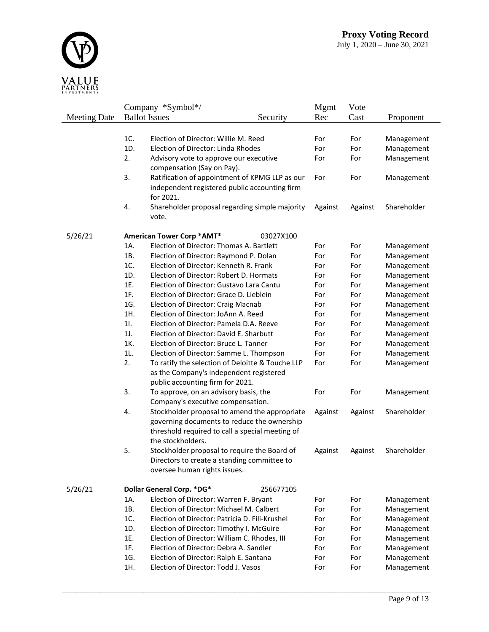

|                     |     | Company *Symbol*/                                                           |           | <b>Mgmt</b> | Vote    |             |
|---------------------|-----|-----------------------------------------------------------------------------|-----------|-------------|---------|-------------|
| <b>Meeting Date</b> |     | <b>Ballot Issues</b>                                                        | Security  | Rec         | Cast    | Proponent   |
|                     |     |                                                                             |           |             |         |             |
|                     | 1C. | Election of Director: Willie M. Reed                                        |           | For         | For     | Management  |
|                     | 1D. | Election of Director: Linda Rhodes                                          |           | For         | For     | Management  |
|                     | 2.  | Advisory vote to approve our executive                                      |           | For         | For     | Management  |
|                     |     | compensation (Say on Pay).                                                  |           |             |         |             |
|                     | 3.  | Ratification of appointment of KPMG LLP as our                              |           | For         | For     | Management  |
|                     |     | independent registered public accounting firm<br>for 2021.                  |           |             |         |             |
|                     | 4.  | Shareholder proposal regarding simple majority                              |           | Against     | Against | Shareholder |
|                     |     | vote.                                                                       |           |             |         |             |
| 5/26/21             |     | American Tower Corp *AMT*                                                   | 03027X100 |             |         |             |
|                     | 1A. | Election of Director: Thomas A. Bartlett                                    |           | For         | For     | Management  |
|                     | 1B. | Election of Director: Raymond P. Dolan                                      |           | For         | For     | Management  |
|                     | 1C. | Election of Director: Kenneth R. Frank                                      |           | For         | For     | Management  |
|                     | 1D. | Election of Director: Robert D. Hormats                                     |           | For         | For     | Management  |
|                     | 1E. | Election of Director: Gustavo Lara Cantu                                    |           | For         | For     | Management  |
|                     | 1F. | Election of Director: Grace D. Lieblein                                     |           | For         | For     | Management  |
|                     | 1G. | Election of Director: Craig Macnab                                          |           | For         | For     | Management  |
|                     | 1H. | Election of Director: JoAnn A. Reed                                         |           | For         | For     | Management  |
|                     | 11. | Election of Director: Pamela D.A. Reeve                                     |           | For         | For     | Management  |
|                     | 1J. | Election of Director: David E. Sharbutt                                     |           | For         | For     | Management  |
|                     | 1K. | Election of Director: Bruce L. Tanner                                       |           | For         | For     | Management  |
|                     | 1L. | Election of Director: Samme L. Thompson                                     |           | For         | For     | Management  |
|                     | 2.  | To ratify the selection of Deloitte & Touche LLP                            |           | For         | For     | Management  |
|                     |     | as the Company's independent registered<br>public accounting firm for 2021. |           |             |         |             |
|                     | 3.  | To approve, on an advisory basis, the                                       |           | For         | For     | Management  |
|                     |     | Company's executive compensation.                                           |           |             |         |             |
|                     | 4.  | Stockholder proposal to amend the appropriate                               |           | Against     | Against | Shareholder |
|                     |     | governing documents to reduce the ownership                                 |           |             |         |             |
|                     |     | threshold required to call a special meeting of                             |           |             |         |             |
|                     |     | the stockholders.                                                           |           |             |         |             |
|                     | 5.  | Stockholder proposal to require the Board of                                |           | Against     | Against | Shareholder |
|                     |     | Directors to create a standing committee to                                 |           |             |         |             |
|                     |     | oversee human rights issues.                                                |           |             |         |             |
| 5/26/21             |     | Dollar General Corp. *DG*                                                   | 256677105 |             |         |             |
|                     | 1A. | Election of Director: Warren F. Bryant                                      |           | For         | For     | Management  |
|                     | 1B. | Election of Director: Michael M. Calbert                                    |           | For         | For     | Management  |
|                     | 1C. | Election of Director: Patricia D. Fili-Krushel                              |           | For         | For     | Management  |
|                     | 1D. | Election of Director: Timothy I. McGuire                                    |           | For         | For     | Management  |
|                     | 1E. | Election of Director: William C. Rhodes, III                                |           | For         | For     | Management  |
|                     | 1F. | Election of Director: Debra A. Sandler                                      |           | For         | For     | Management  |
|                     | 1G. | Election of Director: Ralph E. Santana                                      |           | For         | For     | Management  |
|                     | 1H. | Election of Director: Todd J. Vasos                                         |           | For         | For     | Management  |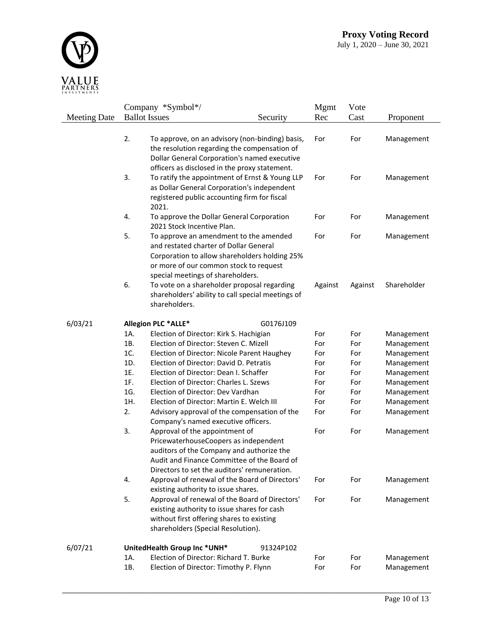

|                     |            | Company *Symbol*/                                                                |           | <b>Mgmt</b> | Vote       |                          |
|---------------------|------------|----------------------------------------------------------------------------------|-----------|-------------|------------|--------------------------|
| <b>Meeting Date</b> |            | <b>Ballot</b> Issues                                                             | Security  | Rec         | Cast       | Proponent                |
|                     |            |                                                                                  |           |             |            |                          |
|                     | 2.         | To approve, on an advisory (non-binding) basis,                                  |           | For         | For        | Management               |
|                     |            | the resolution regarding the compensation of                                     |           |             |            |                          |
|                     |            | Dollar General Corporation's named executive                                     |           |             |            |                          |
|                     |            | officers as disclosed in the proxy statement.                                    |           |             |            |                          |
|                     | 3.         | To ratify the appointment of Ernst & Young LLP                                   |           | For         | For        | Management               |
|                     |            | as Dollar General Corporation's independent                                      |           |             |            |                          |
|                     |            | registered public accounting firm for fiscal<br>2021.                            |           |             |            |                          |
|                     | 4.         | To approve the Dollar General Corporation                                        |           | For         | For        |                          |
|                     |            | 2021 Stock Incentive Plan.                                                       |           |             |            | Management               |
|                     | 5.         | To approve an amendment to the amended                                           |           | For         | For        | Management               |
|                     |            | and restated charter of Dollar General                                           |           |             |            |                          |
|                     |            | Corporation to allow shareholders holding 25%                                    |           |             |            |                          |
|                     |            | or more of our common stock to request                                           |           |             |            |                          |
|                     |            | special meetings of shareholders.                                                |           |             |            |                          |
|                     | 6.         | To vote on a shareholder proposal regarding                                      |           | Against     | Against    | Shareholder              |
|                     |            | shareholders' ability to call special meetings of                                |           |             |            |                          |
|                     |            | shareholders.                                                                    |           |             |            |                          |
|                     |            |                                                                                  |           |             |            |                          |
| 6/03/21             |            | <b>Allegion PLC *ALLE*</b>                                                       | G0176J109 |             |            |                          |
|                     | 1A.        | Election of Director: Kirk S. Hachigian                                          |           | For         | For        | Management               |
|                     | 1B.        | Election of Director: Steven C. Mizell                                           |           | For         | For        | Management               |
|                     | 1C.        | Election of Director: Nicole Parent Haughey                                      |           | For         | For        | Management               |
|                     | 1D.        | Election of Director: David D. Petratis                                          |           | For         | For        | Management               |
|                     | 1E.<br>1F. | Election of Director: Dean I. Schaffer<br>Election of Director: Charles L. Szews |           | For         | For        | Management               |
|                     | 1G.        | Election of Director: Dev Vardhan                                                |           | For<br>For  | For<br>For | Management               |
|                     | 1H.        | Election of Director: Martin E. Welch III                                        |           | For         | For        | Management<br>Management |
|                     | 2.         | Advisory approval of the compensation of the                                     |           | For         | For        | Management               |
|                     |            | Company's named executive officers.                                              |           |             |            |                          |
|                     | 3.         | Approval of the appointment of                                                   |           | For         | For        | Management               |
|                     |            | PricewaterhouseCoopers as independent                                            |           |             |            |                          |
|                     |            | auditors of the Company and authorize the                                        |           |             |            |                          |
|                     |            | Audit and Finance Committee of the Board of                                      |           |             |            |                          |
|                     |            | Directors to set the auditors' remuneration.                                     |           |             |            |                          |
|                     | 4.         | Approval of renewal of the Board of Directors'                                   |           | For         | For        | Management               |
|                     |            | existing authority to issue shares.                                              |           |             |            |                          |
|                     | 5.         | Approval of renewal of the Board of Directors'                                   |           | For         | For        | Management               |
|                     |            | existing authority to issue shares for cash                                      |           |             |            |                          |
|                     |            | without first offering shares to existing                                        |           |             |            |                          |
|                     |            | shareholders (Special Resolution).                                               |           |             |            |                          |
| 6/07/21             |            | UnitedHealth Group Inc *UNH*                                                     | 91324P102 |             |            |                          |
|                     | 1A.        | Election of Director: Richard T. Burke                                           |           | For         | For        | Management               |
|                     | 1B.        | Election of Director: Timothy P. Flynn                                           |           | For         | For        | Management               |
|                     |            |                                                                                  |           |             |            |                          |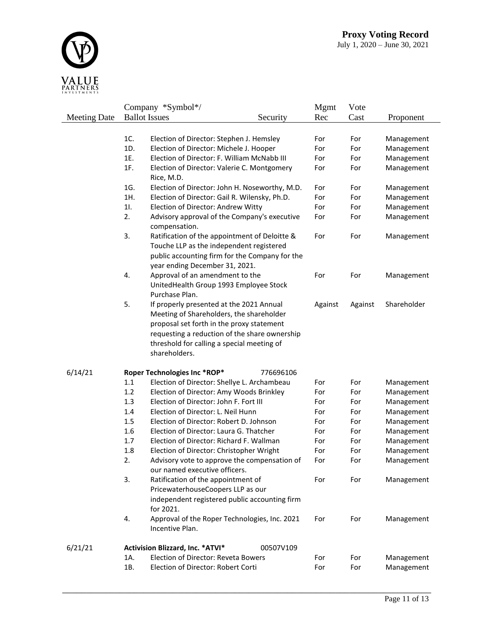

| Company *Symbol*/<br><b>Mgmt</b><br>Vote                                                                   |             |
|------------------------------------------------------------------------------------------------------------|-------------|
| <b>Ballot Issues</b><br><b>Meeting Date</b><br>Security<br>Rec<br>Cast                                     | Proponent   |
|                                                                                                            |             |
| 1C.<br>Election of Director: Stephen J. Hemsley<br>For<br>For                                              | Management  |
| 1D.<br>Election of Director: Michele J. Hooper<br>For<br>For                                               | Management  |
| 1E.<br>Election of Director: F. William McNabb III<br>For<br>For                                           | Management  |
| 1F.<br>Election of Director: Valerie C. Montgomery<br>For<br>For                                           | Management  |
| Rice, M.D.                                                                                                 |             |
| 1G.<br>Election of Director: John H. Noseworthy, M.D.<br>For<br>For                                        | Management  |
| 1H.<br>Election of Director: Gail R. Wilensky, Ph.D.<br>For<br>For                                         | Management  |
| 11.<br>Election of Director: Andrew Witty<br>For<br>For                                                    | Management  |
| 2.<br>Advisory approval of the Company's executive<br>For<br>For                                           | Management  |
| compensation.                                                                                              |             |
| 3.<br>Ratification of the appointment of Deloitte &<br>For<br>For                                          | Management  |
| Touche LLP as the independent registered                                                                   |             |
| public accounting firm for the Company for the                                                             |             |
| year ending December 31, 2021.                                                                             |             |
| 4.<br>Approval of an amendment to the<br>For<br>For                                                        | Management  |
| UnitedHealth Group 1993 Employee Stock                                                                     |             |
| Purchase Plan.<br>5.                                                                                       | Shareholder |
| If properly presented at the 2021 Annual<br>Against<br>Against<br>Meeting of Shareholders, the shareholder |             |
| proposal set forth in the proxy statement                                                                  |             |
| requesting a reduction of the share ownership                                                              |             |
| threshold for calling a special meeting of                                                                 |             |
| shareholders.                                                                                              |             |
|                                                                                                            |             |
| 6/14/21<br>Roper Technologies Inc *ROP*<br>776696106                                                       |             |
| 1.1<br>Election of Director: Shellye L. Archambeau<br>For<br>For                                           | Management  |
| 1.2<br>Election of Director: Amy Woods Brinkley<br>For<br>For                                              | Management  |
| 1.3<br>Election of Director: John F. Fort III<br>For<br>For                                                | Management  |
| 1.4<br>Election of Director: L. Neil Hunn<br>For<br>For                                                    | Management  |
| 1.5<br>Election of Director: Robert D. Johnson<br>For<br>For                                               | Management  |
| 1.6<br>Election of Director: Laura G. Thatcher<br>For<br>For                                               | Management  |
| 1.7<br>Election of Director: Richard F. Wallman<br>For<br>For                                              | Management  |
| 1.8<br>Election of Director: Christopher Wright<br>For<br>For                                              | Management  |
| 2.<br>Advisory vote to approve the compensation of<br>For<br>For<br>our named executive officers.          | Management  |
| Ratification of the appointment of<br>3.<br>For<br>For                                                     | Management  |
| PricewaterhouseCoopers LLP as our                                                                          |             |
| independent registered public accounting firm                                                              |             |
| for 2021.                                                                                                  |             |
| 4.<br>Approval of the Roper Technologies, Inc. 2021<br>For<br>For                                          | Management  |
| Incentive Plan.                                                                                            |             |
| 6/21/21<br>Activision Blizzard, Inc. * ATVI*<br>00507V109                                                  |             |
| <b>Election of Director: Reveta Bowers</b><br>1A.<br>For<br>For                                            | Management  |
| 1B.<br>Election of Director: Robert Corti<br>For<br>For                                                    | Management  |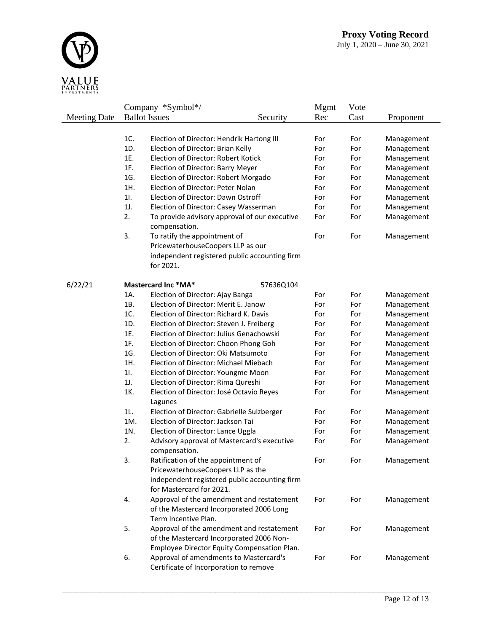

|                     |     | Company *Symbol*/                                            |           | Mgmt | Vote |            |
|---------------------|-----|--------------------------------------------------------------|-----------|------|------|------------|
| <b>Meeting Date</b> |     | <b>Ballot</b> Issues                                         | Security  | Rec  | Cast | Proponent  |
|                     |     |                                                              |           |      |      |            |
|                     | 1C. | Election of Director: Hendrik Hartong III                    |           | For  | For  | Management |
|                     | 1D. | Election of Director: Brian Kelly                            |           | For  | For  | Management |
|                     | 1E. | Election of Director: Robert Kotick                          |           | For  | For  | Management |
|                     | 1F. | Election of Director: Barry Meyer                            |           | For  | For  | Management |
|                     | 1G. | Election of Director: Robert Morgado                         |           | For  | For  | Management |
|                     | 1H. | Election of Director: Peter Nolan                            |           | For  | For  | Management |
|                     | 11. | Election of Director: Dawn Ostroff                           |           | For  | For  | Management |
|                     | 1J. | Election of Director: Casey Wasserman                        |           | For  | For  | Management |
|                     | 2.  | To provide advisory approval of our executive                |           | For  | For  | Management |
|                     |     | compensation.                                                |           |      |      |            |
|                     | 3.  | To ratify the appointment of                                 |           | For  | For  | Management |
|                     |     | PricewaterhouseCoopers LLP as our                            |           |      |      |            |
|                     |     | independent registered public accounting firm                |           |      |      |            |
|                     |     | for 2021.                                                    |           |      |      |            |
|                     |     |                                                              |           |      |      |            |
| 6/22/21             |     | Mastercard Inc *MA*                                          | 57636Q104 |      |      |            |
|                     | 1A. | Election of Director: Ajay Banga                             |           | For  | For  | Management |
|                     | 1B. | Election of Director: Merit E. Janow                         |           | For  | For  | Management |
|                     | 1C. | Election of Director: Richard K. Davis                       |           | For  | For  | Management |
|                     | 1D. | Election of Director: Steven J. Freiberg                     |           | For  | For  | Management |
|                     | 1E. | Election of Director: Julius Genachowski                     |           | For  | For  | Management |
|                     | 1F. | Election of Director: Choon Phong Goh                        |           | For  | For  | Management |
|                     | 1G. | Election of Director: Oki Matsumoto                          |           | For  | For  | Management |
|                     | 1H. | Election of Director: Michael Miebach                        |           | For  | For  | Management |
|                     | 11. | Election of Director: Youngme Moon                           |           | For  | For  | Management |
|                     | 1J. | Election of Director: Rima Qureshi                           |           | For  | For  | Management |
|                     | 1K. | Election of Director: José Octavio Reyes                     |           | For  | For  | Management |
|                     |     | Lagunes                                                      |           |      |      |            |
|                     | 1L. | Election of Director: Gabrielle Sulzberger                   |           | For  | For  | Management |
|                     | 1M. | Election of Director: Jackson Tai                            |           | For  | For  | Management |
|                     | 1N. | Election of Director: Lance Uggla                            |           | For  | For  | Management |
|                     | 2.  | Advisory approval of Mastercard's executive<br>compensation. |           | For  | For  | Management |
|                     | З.  | Ratification of the appointment of                           |           | For  | For  | Management |
|                     |     | PricewaterhouseCoopers LLP as the                            |           |      |      |            |
|                     |     | independent registered public accounting firm                |           |      |      |            |
|                     |     | for Mastercard for 2021.                                     |           |      |      |            |
|                     | 4.  | Approval of the amendment and restatement                    |           | For  | For  | Management |
|                     |     | of the Mastercard Incorporated 2006 Long                     |           |      |      |            |
|                     |     | Term Incentive Plan.                                         |           |      |      |            |
|                     | 5.  | Approval of the amendment and restatement                    |           | For  | For  | Management |
|                     |     | of the Mastercard Incorporated 2006 Non-                     |           |      |      |            |
|                     |     | Employee Director Equity Compensation Plan.                  |           |      |      |            |
|                     | 6.  | Approval of amendments to Mastercard's                       |           | For  | For  | Management |
|                     |     | Certificate of Incorporation to remove                       |           |      |      |            |